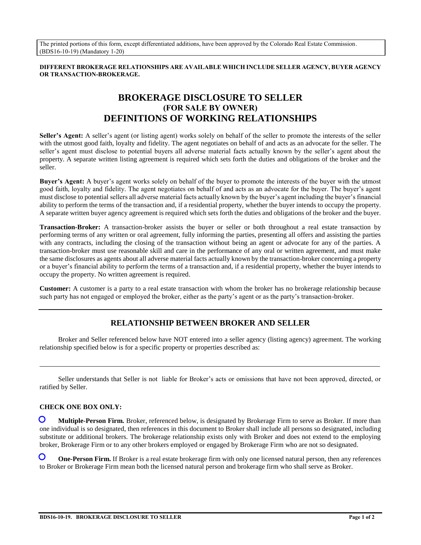The printed portions of this form, except differentiated additions, have been approved by the Colorado Real Estate Commission. (BDS16-10-19) (Mandatory 1-20)

**DIFFERENT BROKERAGE RELATIONSHIPS ARE AVAILABLE WHICH INCLUDE SELLER AGENCY, BUYER AGENCY OR TRANSACTION-BROKERAGE.**

# **BROKERAGE DISCLOSURE TO SELLER (FOR SALE BY OWNER) DEFINITIONS OF WORKING RELATIONSHIPS**

**Seller's Agent:** A seller's agent (or listing agent) works solely on behalf of the seller to promote the interests of the seller with the utmost good faith, loyalty and fidelity. The agent negotiates on behalf of and acts as an advocate for the seller. The seller's agent must disclose to potential buyers all adverse material facts actually known by the seller's agent about the property. A separate written listing agreement is required which sets forth the duties and obligations of the broker and the seller.

**Buyer's Agent:** A buyer's agent works solely on behalf of the buyer to promote the interests of the buyer with the utmost good faith, loyalty and fidelity. The agent negotiates on behalf of and acts as an advocate for the buyer. The buyer's agent must disclose to potential sellers all adverse material facts actually known by the buyer's agent including the buyer's financial ability to perform the terms of the transaction and, if a residential property, whether the buyer intends to occupy the property. A separate written buyer agency agreement is required which sets forth the duties and obligations of the broker and the buyer.

**Transaction-Broker:** A transaction-broker assists the buyer or seller or both throughout a real estate transaction by performing terms of any written or oral agreement, fully informing the parties, presenting all offers and assisting the parties with any contracts, including the closing of the transaction without being an agent or advocate for any of the parties. A transaction-broker must use reasonable skill and care in the performance of any oral or written agreement, and must make the same disclosures as agents about all adverse material facts actually known by the transaction-broker concerning a property or a buyer's financial ability to perform the terms of a transaction and, if a residential property, whether the buyer intends to occupy the property. No written agreement is required.

**Customer:** A customer is a party to a real estate transaction with whom the broker has no brokerage relationship because such party has not engaged or employed the broker, either as the party's agent or as the party's transaction-broker.

## **RELATIONSHIP BETWEEN BROKER AND SELLER**

Broker and Seller referenced below have NOT entered into a seller agency (listing agency) agreement. The working relationship specified below is for a specific property or properties described as:

Seller understands that Seller is not liable for Broker's acts or omissions that have not been approved, directed, or ratified by Seller.

#### **CHECK ONE BOX ONLY:**

 **Multiple-Person Firm.** Broker, referenced below, is designated by Brokerage Firm to serve as Broker. If more than one individual is so designated, then references in this document to Broker shall include all persons so designated, including substitute or additional brokers. The brokerage relationship exists only with Broker and does not extend to the employing broker, Brokerage Firm or to any other brokers employed or engaged by Brokerage Firm who are not so designated.  $\mathbf{O}$ 

 **One-Person Firm.** If Broker is a real estate brokerage firm with only one licensed natural person, then any references to Broker or Brokerage Firm mean both the licensed natural person and brokerage firm who shall serve as Broker.  $\mathbf O$